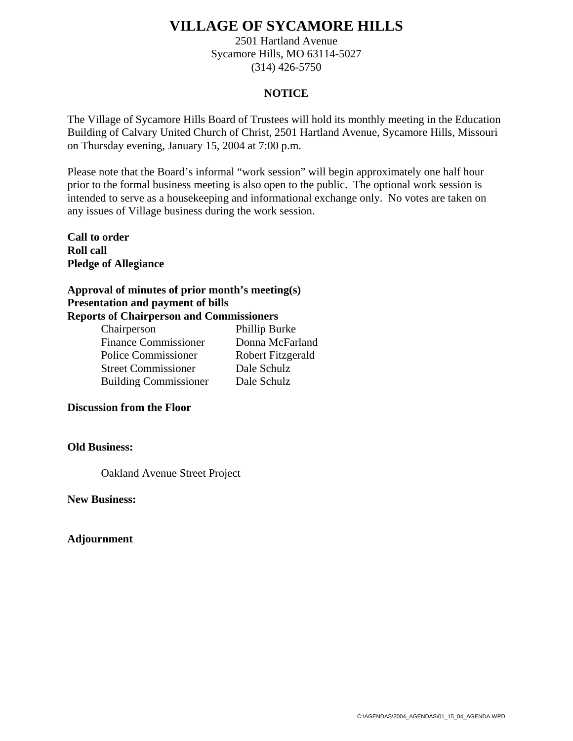2501 Hartland Avenue Sycamore Hills, MO 63114-5027 (314) 426-5750

## **NOTICE**

The Village of Sycamore Hills Board of Trustees will hold its monthly meeting in the Education Building of Calvary United Church of Christ, 2501 Hartland Avenue, Sycamore Hills, Missouri on Thursday evening, January 15, 2004 at 7:00 p.m.

Please note that the Board's informal "work session" will begin approximately one half hour prior to the formal business meeting is also open to the public. The optional work session is intended to serve as a housekeeping and informational exchange only. No votes are taken on any issues of Village business during the work session.

**Call to order Roll call Pledge of Allegiance** 

## **Approval of minutes of prior month's meeting(s) Presentation and payment of bills Reports of Chairperson and Commissioners**

| the or chain person and commissioners |                   |
|---------------------------------------|-------------------|
| Chairperson                           | Phillip Burke     |
| <b>Finance Commissioner</b>           | Donna McFarland   |
| <b>Police Commissioner</b>            | Robert Fitzgerald |
| <b>Street Commissioner</b>            | Dale Schulz       |
| <b>Building Commissioner</b>          | Dale Schulz       |

## **Discussion from the Floor**

## **Old Business:**

Oakland Avenue Street Project

**New Business:**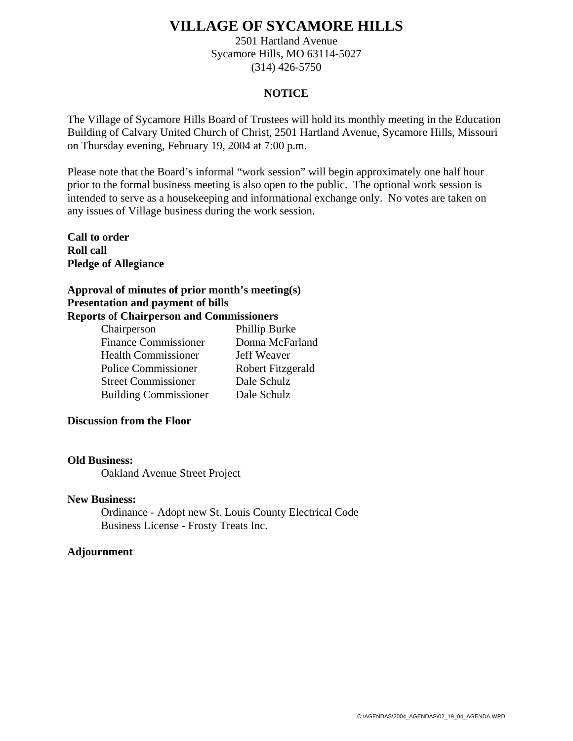2501 Hartland Avenue Sycamore Hills, MO 63114-5027 (314) 426-5750

## **NOTICE**

The Village of Sycamore Hills Board of Trustees will hold its monthly meeting in the Education Building of Calvary United Church of Christ, 2501 Hartland Avenue, Sycamore Hills, Missouri on Thursday evening, February 19, 2004 at 7:00 p.m.

Please note that the Board's informal "work session" will begin approximately one half hour prior to the formal business meeting is also open to the public. The optional work session is intended to serve as a housekeeping and informational exchange only. No votes are taken on any issues of Village business during the work session.

**Call to order Roll call Pledge of Allegiance** 

## **Approval of minutes of prior month's meeting(s) Presentation and payment of bills Reports of Chairperson and Commissioners**

| to of Chair person and Commissioners |                   |
|--------------------------------------|-------------------|
| Chairperson                          | Phillip Burke     |
| <b>Finance Commissioner</b>          | Donna McFarland   |
| <b>Health Commissioner</b>           | Jeff Weaver       |
| <b>Police Commissioner</b>           | Robert Fitzgerald |
| <b>Street Commissioner</b>           | Dale Schulz       |
| <b>Building Commissioner</b>         | Dale Schulz       |

## **Discussion from the Floor**

#### **Old Business:**

Oakland Avenue Street Project

## **New Business:**

Ordinance - Adopt new St. Louis County Electrical Code Business License - Frosty Treats Inc.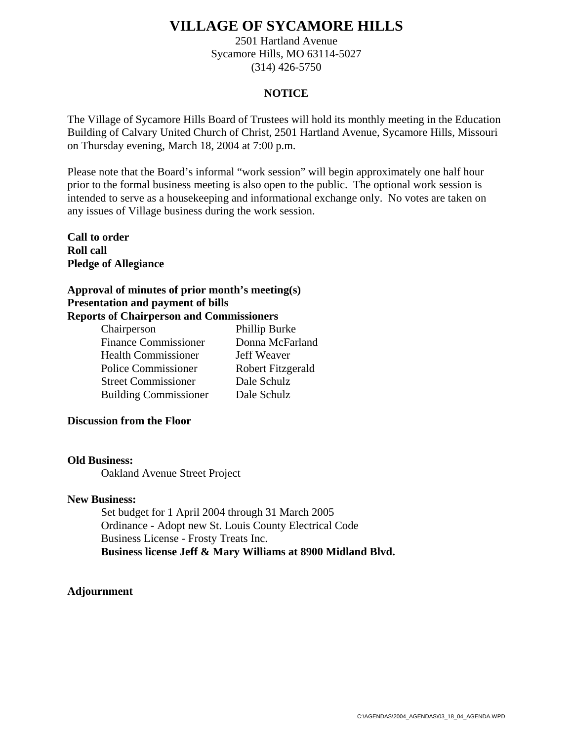2501 Hartland Avenue Sycamore Hills, MO 63114-5027 (314) 426-5750

## **NOTICE**

The Village of Sycamore Hills Board of Trustees will hold its monthly meeting in the Education Building of Calvary United Church of Christ, 2501 Hartland Avenue, Sycamore Hills, Missouri on Thursday evening, March 18, 2004 at 7:00 p.m.

Please note that the Board's informal "work session" will begin approximately one half hour prior to the formal business meeting is also open to the public. The optional work session is intended to serve as a housekeeping and informational exchange only. No votes are taken on any issues of Village business during the work session.

**Call to order Roll call Pledge of Allegiance** 

## **Approval of minutes of prior month's meeting(s) Presentation and payment of bills Reports of Chairperson and Commissioners**

| to of Chair person and Commissioners |                   |
|--------------------------------------|-------------------|
| Chairperson                          | Phillip Burke     |
| <b>Finance Commissioner</b>          | Donna McFarland   |
| <b>Health Commissioner</b>           | Jeff Weaver       |
| <b>Police Commissioner</b>           | Robert Fitzgerald |
| <b>Street Commissioner</b>           | Dale Schulz       |
| <b>Building Commissioner</b>         | Dale Schulz       |

## **Discussion from the Floor**

**Old Business:** 

Oakland Avenue Street Project

## **New Business:**

Set budget for 1 April 2004 through 31 March 2005 Ordinance - Adopt new St. Louis County Electrical Code Business License - Frosty Treats Inc. **Business license Jeff & Mary Williams at 8900 Midland Blvd.**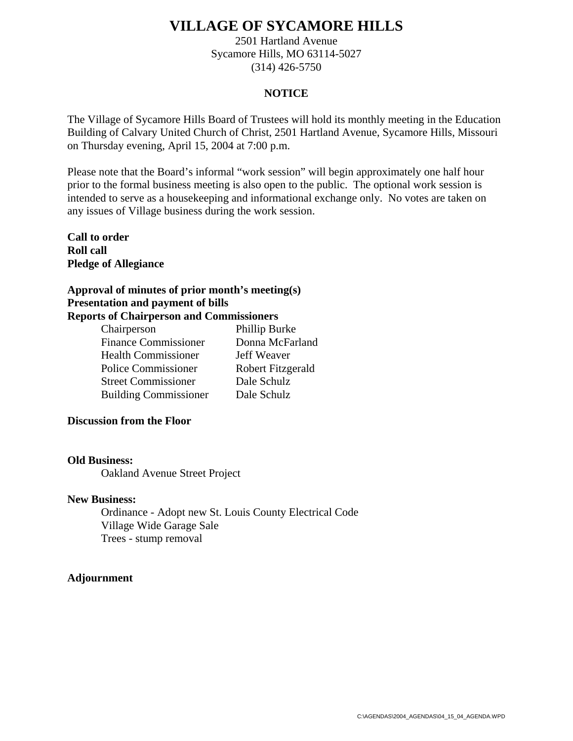2501 Hartland Avenue Sycamore Hills, MO 63114-5027 (314) 426-5750

## **NOTICE**

The Village of Sycamore Hills Board of Trustees will hold its monthly meeting in the Education Building of Calvary United Church of Christ, 2501 Hartland Avenue, Sycamore Hills, Missouri on Thursday evening, April 15, 2004 at 7:00 p.m.

Please note that the Board's informal "work session" will begin approximately one half hour prior to the formal business meeting is also open to the public. The optional work session is intended to serve as a housekeeping and informational exchange only. No votes are taken on any issues of Village business during the work session.

**Call to order Roll call Pledge of Allegiance** 

## **Approval of minutes of prior month's meeting(s) Presentation and payment of bills Reports of Chairperson and Commissioners**

| to of Chair person and Commissioners |                   |
|--------------------------------------|-------------------|
| Chairperson                          | Phillip Burke     |
| <b>Finance Commissioner</b>          | Donna McFarland   |
| <b>Health Commissioner</b>           | Jeff Weaver       |
| <b>Police Commissioner</b>           | Robert Fitzgerald |
| <b>Street Commissioner</b>           | Dale Schulz       |
| <b>Building Commissioner</b>         | Dale Schulz       |

## **Discussion from the Floor**

#### **Old Business:**

Oakland Avenue Street Project

## **New Business:**

Ordinance - Adopt new St. Louis County Electrical Code Village Wide Garage Sale Trees - stump removal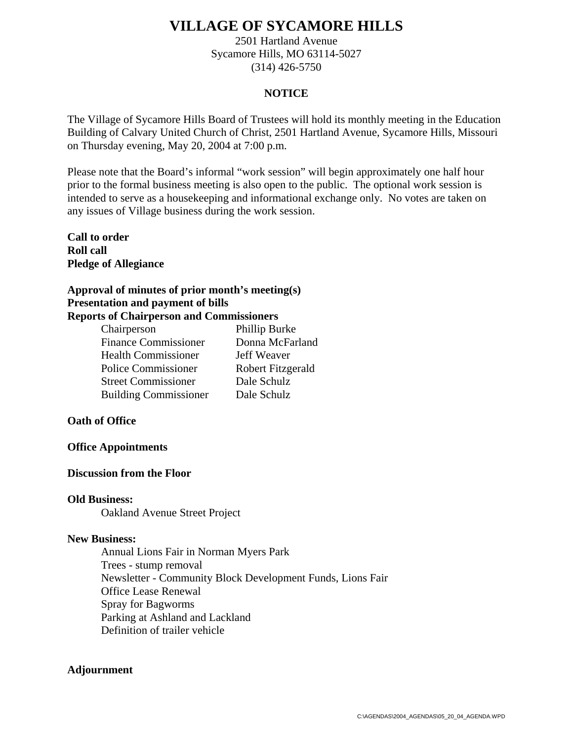2501 Hartland Avenue Sycamore Hills, MO 63114-5027 (314) 426-5750

## **NOTICE**

The Village of Sycamore Hills Board of Trustees will hold its monthly meeting in the Education Building of Calvary United Church of Christ, 2501 Hartland Avenue, Sycamore Hills, Missouri on Thursday evening, May 20, 2004 at 7:00 p.m.

Please note that the Board's informal "work session" will begin approximately one half hour prior to the formal business meeting is also open to the public. The optional work session is intended to serve as a housekeeping and informational exchange only. No votes are taken on any issues of Village business during the work session.

**Call to order Roll call Pledge of Allegiance** 

## **Approval of minutes of prior month's meeting(s) Presentation and payment of bills Reports of Chairperson and Commissioners**

| as of Chain person and Commissioners |                   |
|--------------------------------------|-------------------|
| Chairperson                          | Phillip Burke     |
| <b>Finance Commissioner</b>          | Donna McFarland   |
| <b>Health Commissioner</b>           | Jeff Weaver       |
| <b>Police Commissioner</b>           | Robert Fitzgerald |
| <b>Street Commissioner</b>           | Dale Schulz       |
| <b>Building Commissioner</b>         | Dale Schulz       |

## **Oath of Office**

## **Office Appointments**

## **Discussion from the Floor**

#### **Old Business:**

Oakland Avenue Street Project

#### **New Business:**

Annual Lions Fair in Norman Myers Park Trees - stump removal Newsletter - Community Block Development Funds, Lions Fair Office Lease Renewal Spray for Bagworms Parking at Ashland and Lackland Definition of trailer vehicle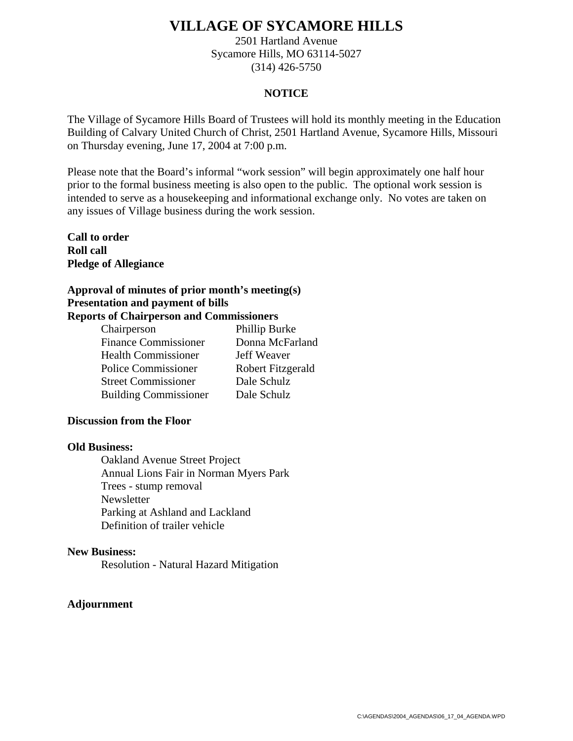2501 Hartland Avenue Sycamore Hills, MO 63114-5027 (314) 426-5750

## **NOTICE**

The Village of Sycamore Hills Board of Trustees will hold its monthly meeting in the Education Building of Calvary United Church of Christ, 2501 Hartland Avenue, Sycamore Hills, Missouri on Thursday evening, June 17, 2004 at 7:00 p.m.

Please note that the Board's informal "work session" will begin approximately one half hour prior to the formal business meeting is also open to the public. The optional work session is intended to serve as a housekeeping and informational exchange only. No votes are taken on any issues of Village business during the work session.

**Call to order Roll call Pledge of Allegiance** 

## **Approval of minutes of prior month's meeting(s) Presentation and payment of bills Reports of Chairperson and Commissioners**

| to of Chair person and Commissioners |                   |
|--------------------------------------|-------------------|
| Chairperson                          | Phillip Burke     |
| <b>Finance Commissioner</b>          | Donna McFarland   |
| <b>Health Commissioner</b>           | Jeff Weaver       |
| <b>Police Commissioner</b>           | Robert Fitzgerald |
| <b>Street Commissioner</b>           | Dale Schulz       |
| <b>Building Commissioner</b>         | Dale Schulz       |

## **Discussion from the Floor**

## **Old Business:**

Oakland Avenue Street Project Annual Lions Fair in Norman Myers Park Trees - stump removal Newsletter Parking at Ashland and Lackland Definition of trailer vehicle

## **New Business:**

Resolution - Natural Hazard Mitigation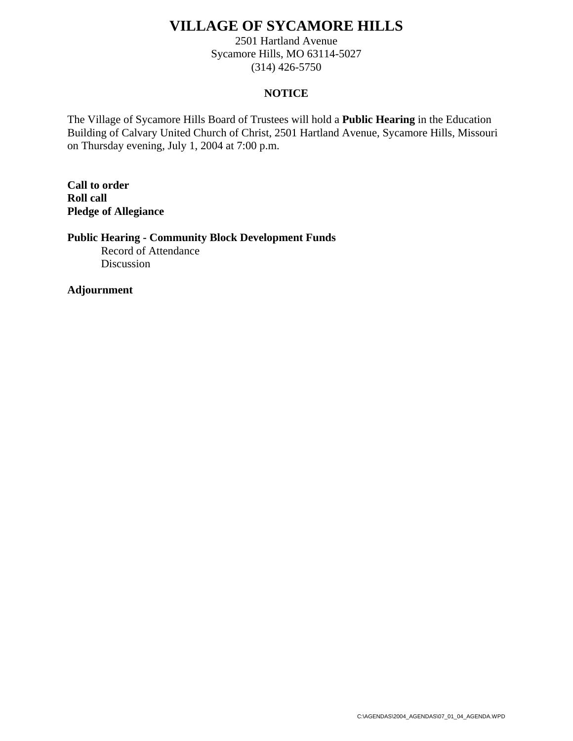2501 Hartland Avenue Sycamore Hills, MO 63114-5027 (314) 426-5750

## **NOTICE**

The Village of Sycamore Hills Board of Trustees will hold a **Public Hearing** in the Education Building of Calvary United Church of Christ, 2501 Hartland Avenue, Sycamore Hills, Missouri on Thursday evening, July 1, 2004 at 7:00 p.m.

**Call to order Roll call Pledge of Allegiance** 

**Public Hearing - Community Block Development Funds** 

Record of Attendance Discussion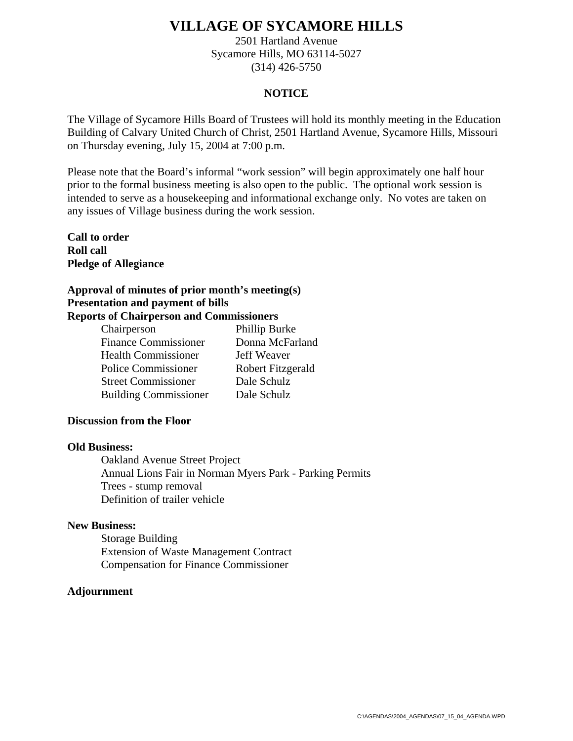2501 Hartland Avenue Sycamore Hills, MO 63114-5027 (314) 426-5750

## **NOTICE**

The Village of Sycamore Hills Board of Trustees will hold its monthly meeting in the Education Building of Calvary United Church of Christ, 2501 Hartland Avenue, Sycamore Hills, Missouri on Thursday evening, July 15, 2004 at 7:00 p.m.

Please note that the Board's informal "work session" will begin approximately one half hour prior to the formal business meeting is also open to the public. The optional work session is intended to serve as a housekeeping and informational exchange only. No votes are taken on any issues of Village business during the work session.

**Call to order Roll call Pledge of Allegiance** 

## **Approval of minutes of prior month's meeting(s) Presentation and payment of bills Reports of Chairperson and Commissioners**

| Chairperson                  | Phillip Burke     |
|------------------------------|-------------------|
| <b>Finance Commissioner</b>  | Donna McFarland   |
| <b>Health Commissioner</b>   | Jeff Weaver       |
| <b>Police Commissioner</b>   | Robert Fitzgerald |
| <b>Street Commissioner</b>   | Dale Schulz       |
| <b>Building Commissioner</b> | Dale Schulz       |

## **Discussion from the Floor**

#### **Old Business:**

Oakland Avenue Street Project Annual Lions Fair in Norman Myers Park - Parking Permits Trees - stump removal Definition of trailer vehicle

## **New Business:**

Storage Building Extension of Waste Management Contract Compensation for Finance Commissioner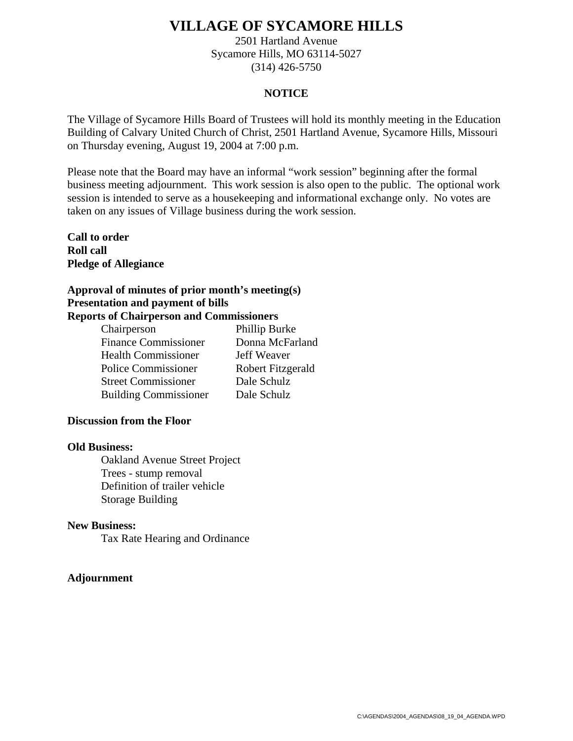2501 Hartland Avenue Sycamore Hills, MO 63114-5027 (314) 426-5750

## **NOTICE**

The Village of Sycamore Hills Board of Trustees will hold its monthly meeting in the Education Building of Calvary United Church of Christ, 2501 Hartland Avenue, Sycamore Hills, Missouri on Thursday evening, August 19, 2004 at 7:00 p.m.

Please note that the Board may have an informal "work session" beginning after the formal business meeting adjournment. This work session is also open to the public. The optional work session is intended to serve as a housekeeping and informational exchange only. No votes are taken on any issues of Village business during the work session.

**Call to order Roll call Pledge of Allegiance** 

## **Approval of minutes of prior month's meeting(s) Presentation and payment of bills Reports of Chairperson and Commissioners**

| Chairperson                  | Phillip Burke     |
|------------------------------|-------------------|
| <b>Finance Commissioner</b>  | Donna McFarland   |
| <b>Health Commissioner</b>   | Jeff Weaver       |
| <b>Police Commissioner</b>   | Robert Fitzgerald |
| <b>Street Commissioner</b>   | Dale Schulz       |
| <b>Building Commissioner</b> | Dale Schulz       |

## **Discussion from the Floor**

#### **Old Business:**

Oakland Avenue Street Project Trees - stump removal Definition of trailer vehicle Storage Building

## **New Business:**

Tax Rate Hearing and Ordinance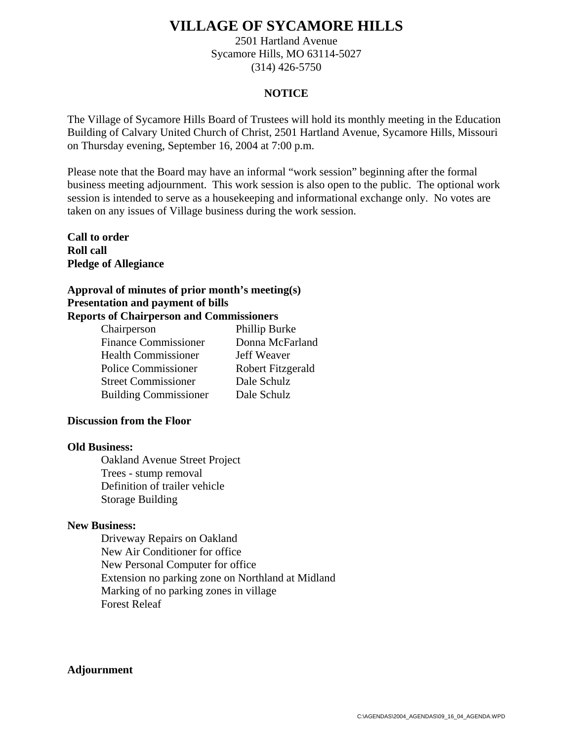2501 Hartland Avenue Sycamore Hills, MO 63114-5027 (314) 426-5750

## **NOTICE**

The Village of Sycamore Hills Board of Trustees will hold its monthly meeting in the Education Building of Calvary United Church of Christ, 2501 Hartland Avenue, Sycamore Hills, Missouri on Thursday evening, September 16, 2004 at 7:00 p.m.

Please note that the Board may have an informal "work session" beginning after the formal business meeting adjournment. This work session is also open to the public. The optional work session is intended to serve as a housekeeping and informational exchange only. No votes are taken on any issues of Village business during the work session.

**Call to order Roll call Pledge of Allegiance** 

## **Approval of minutes of prior month's meeting(s) Presentation and payment of bills Reports of Chairperson and Commissioners**

| Chairperson                  | Phillip Burke     |
|------------------------------|-------------------|
| <b>Finance Commissioner</b>  | Donna McFarland   |
| <b>Health Commissioner</b>   | Jeff Weaver       |
| <b>Police Commissioner</b>   | Robert Fitzgerald |
| <b>Street Commissioner</b>   | Dale Schulz       |
| <b>Building Commissioner</b> | Dale Schulz       |

#### **Discussion from the Floor**

#### **Old Business:**

Oakland Avenue Street Project Trees - stump removal Definition of trailer vehicle Storage Building

## **New Business:**

Driveway Repairs on Oakland New Air Conditioner for office New Personal Computer for office Extension no parking zone on Northland at Midland Marking of no parking zones in village Forest Releaf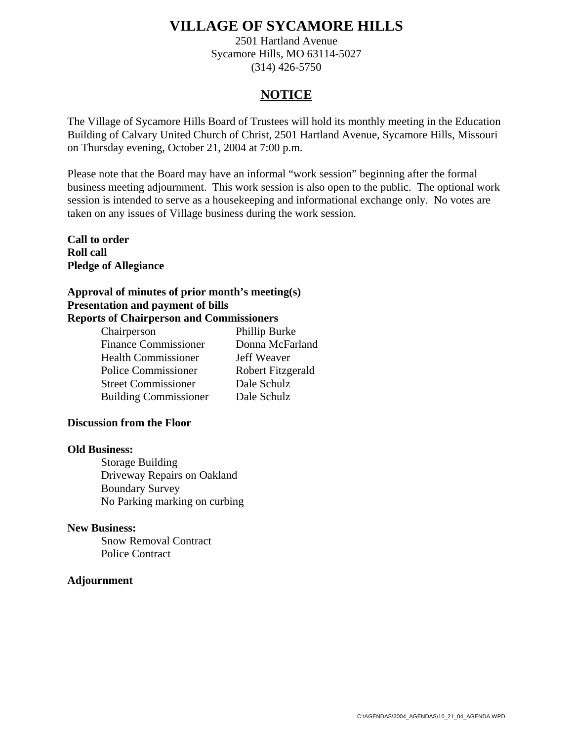2501 Hartland Avenue Sycamore Hills, MO 63114-5027 (314) 426-5750

## **NOTICE**

The Village of Sycamore Hills Board of Trustees will hold its monthly meeting in the Education Building of Calvary United Church of Christ, 2501 Hartland Avenue, Sycamore Hills, Missouri on Thursday evening, October 21, 2004 at 7:00 p.m.

Please note that the Board may have an informal "work session" beginning after the formal business meeting adjournment. This work session is also open to the public. The optional work session is intended to serve as a housekeeping and informational exchange only. No votes are taken on any issues of Village business during the work session.

**Call to order Roll call Pledge of Allegiance** 

## **Approval of minutes of prior month's meeting(s) Presentation and payment of bills Reports of Chairperson and Commissioners**

| Phillip Burke     |
|-------------------|
| Donna McFarland   |
| Jeff Weaver       |
| Robert Fitzgerald |
| Dale Schulz       |
| Dale Schulz       |
|                   |

## **Discussion from the Floor**

## **Old Business:**

Storage Building Driveway Repairs on Oakland Boundary Survey No Parking marking on curbing

## **New Business:**

Snow Removal Contract Police Contract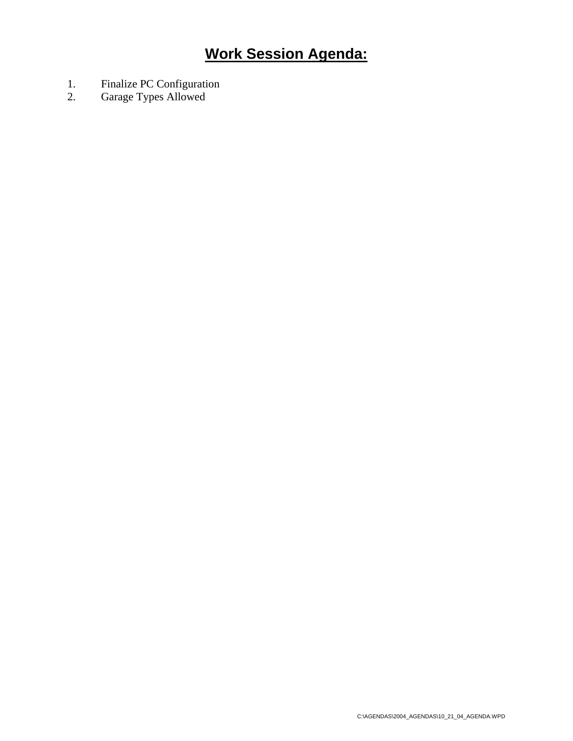# **Work Session Agenda:**

- 1. Finalize PC Configuration
- 2. Garage Types Allowed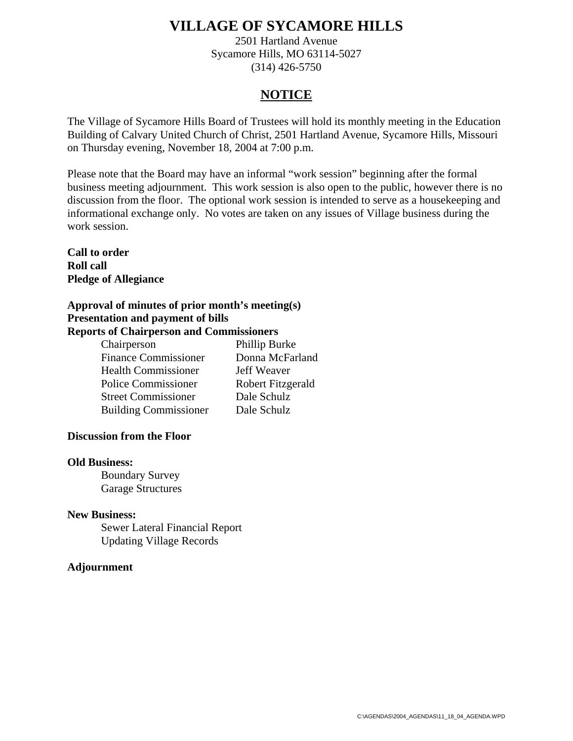2501 Hartland Avenue Sycamore Hills, MO 63114-5027 (314) 426-5750

## **NOTICE**

The Village of Sycamore Hills Board of Trustees will hold its monthly meeting in the Education Building of Calvary United Church of Christ, 2501 Hartland Avenue, Sycamore Hills, Missouri on Thursday evening, November 18, 2004 at 7:00 p.m.

Please note that the Board may have an informal "work session" beginning after the formal business meeting adjournment. This work session is also open to the public, however there is no discussion from the floor. The optional work session is intended to serve as a housekeeping and informational exchange only. No votes are taken on any issues of Village business during the work session.

**Call to order Roll call Pledge of Allegiance** 

## **Approval of minutes of prior month's meeting(s) Presentation and payment of bills Reports of Chairperson and Commissioners**

| Chairperson                  | Phillip Burke     |
|------------------------------|-------------------|
| <b>Finance Commissioner</b>  | Donna McFarland   |
| <b>Health Commissioner</b>   | Jeff Weaver       |
| <b>Police Commissioner</b>   | Robert Fitzgerald |
| <b>Street Commissioner</b>   | Dale Schulz       |
| <b>Building Commissioner</b> | Dale Schulz       |

## **Discussion from the Floor**

## **Old Business:**

Boundary Survey Garage Structures

## **New Business:**

Sewer Lateral Financial Report Updating Village Records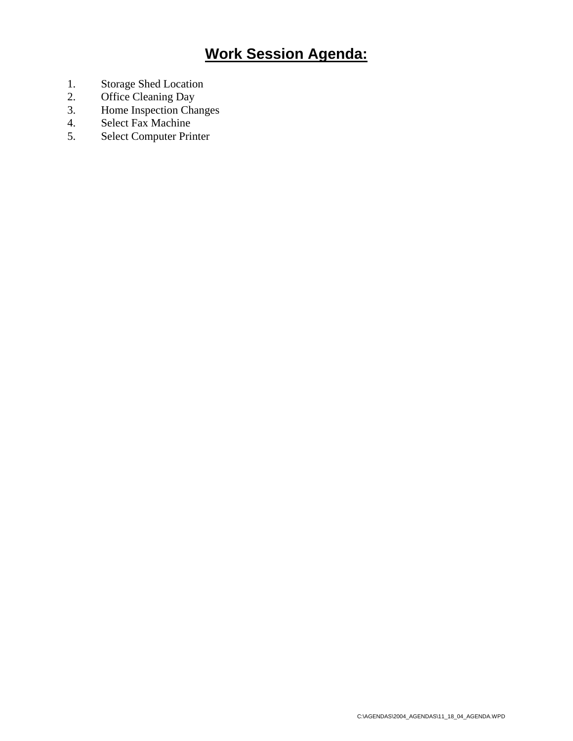# **Work Session Agenda:**

- 1. Storage Shed Location
- 2. Office Cleaning Day
- 3. Home Inspection Changes
- 4. Select Fax Machine
- 5. Select Computer Printer